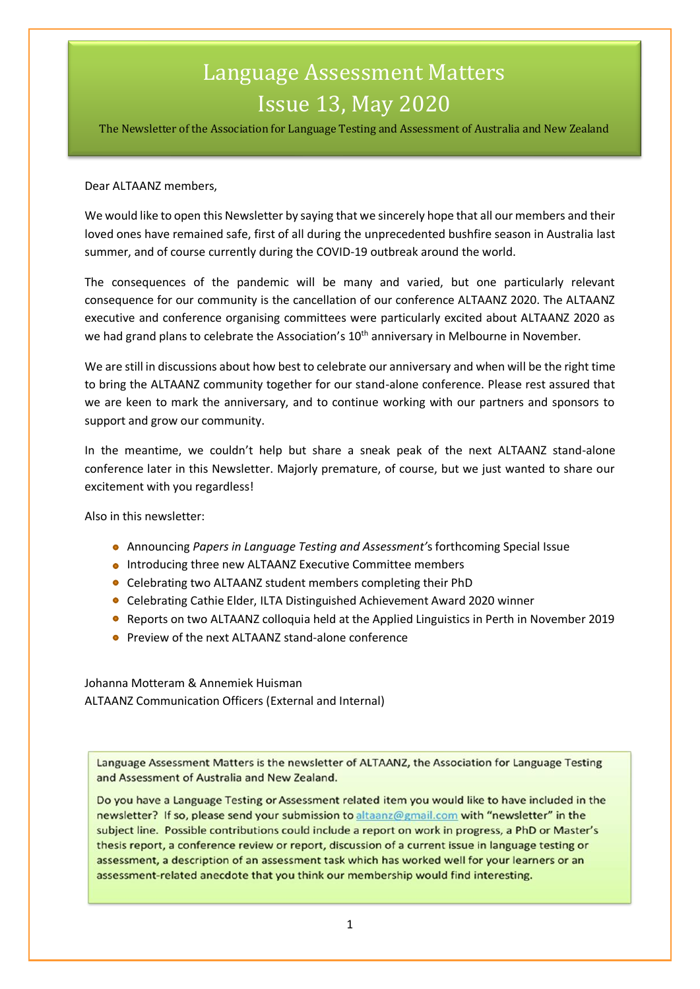# Language Assessment Matters Issue 13, May 2020

The Newsletter of the Association for Language Testing and Assessment of Australia and New Zealand

#### Dear ALTAANZ members,

We would like to open this Newsletter by saying that we sincerely hope that all our members and their loved ones have remained safe, first of all during the unprecedented bushfire season in Australia last summer, and of course currently during the COVID-19 outbreak around the world.

The consequences of the pandemic will be many and varied, but one particularly relevant consequence for our community is the cancellation of our conference ALTAANZ 2020. The ALTAANZ executive and conference organising committees were particularly excited about ALTAANZ 2020 as we had grand plans to celebrate the Association's 10<sup>th</sup> anniversary in Melbourne in November.

We are still in discussions about how best to celebrate our anniversary and when will be the right time to bring the ALTAANZ community together for our stand-alone conference. Please rest assured that we are keen to mark the anniversary, and to continue working with our partners and sponsors to support and grow our community.

In the meantime, we couldn't help but share a sneak peak of the next ALTAANZ stand-alone conference later in this Newsletter. Majorly premature, of course, but we just wanted to share our excitement with you regardless!

Also in this newsletter:

- Announcing *Papers in Language Testing and Assessment'*s forthcoming Special Issue
- **.** Introducing three new ALTAANZ Executive Committee members
- Celebrating two ALTAANZ student members completing their PhD
- Celebrating Cathie Elder, ILTA Distinguished Achievement Award 2020 winner
- **Reports on two ALTAANZ colloquia held at the Applied Linguistics in Perth in November 2019**
- Preview of the next ALTAANZ stand-alone conference

Johanna Motteram & Annemiek Huisman ALTAANZ Communication Officers (External and Internal)

Language Assessment Matters is the newsletter of ALTAANZ, the Association for Language Testing and Assessment of Australia and New Zealand.

Do you have a Language Testing or Assessment related item you would like to have included in the newsletter? If so, please send your submission to altaanz@gmail.com with "newsletter" in the subject line. Possible contributions could include a report on work in progress, a PhD or Master's thesis report, a conference review or report, discussion of a current issue in language testing or assessment, a description of an assessment task which has worked well for your learners or an assessment-related anecdote that you think our membership would find interesting.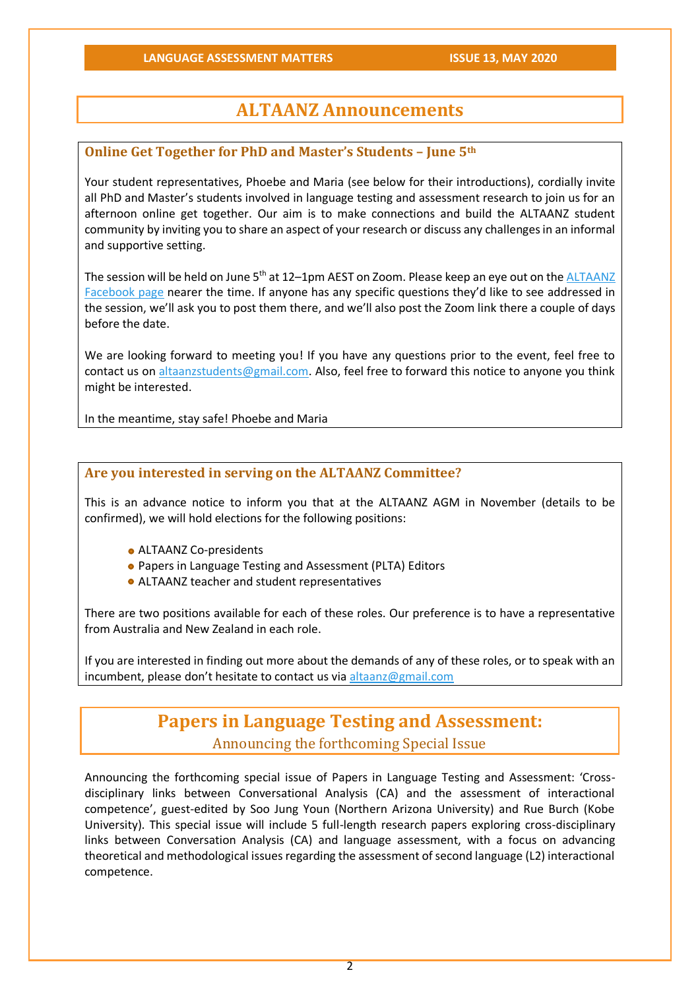# **ALTAANZ Announcements**

# **Online Get Together for PhD and Master's Students – June 5th**

Your student representatives, Phoebe and Maria (see below for their introductions), cordially invite all PhD and Master's students involved in language testing and assessment research to join us for an afternoon online get together. Our aim is to make connections and build the ALTAANZ student community by inviting you to share an aspect of your research or discuss any challenges in an informal and supportive setting.

The session will be held on June 5<sup>th</sup> at 12–1pm AEST on Zoom. Please keep an eye out on the ALTAANZ [Facebook page](https://www.facebook.com/groups/310263089150447/) nearer the time. If anyone has any specific questions they'd like to see addressed in the session, we'll ask you to post them there, and we'll also post the Zoom link there a couple of days before the date.

We are looking forward to meeting you! If you have any questions prior to the event, feel free to contact us on [altaanzstudents@gmail.com.](mailto:altaanzstudents@gmail.com) Also, feel free to forward this notice to anyone you think might be interested.

In the meantime, stay safe! Phoebe and Maria

# **Are you interested in serving on the ALTAANZ Committee?**

This is an advance notice to inform you that at the ALTAANZ AGM in November (details to be confirmed), we will hold elections for the following positions:

- ALTAANZ Co-presidents
- Papers in Language Testing and Assessment (PLTA) Editors
- ALTAANZ teacher and student representatives

There are two positions available for each of these roles. Our preference is to have a representative from Australia and New Zealand in each role.

If you are interested in finding out more about the demands of any of these roles, or to speak with an incumbent, please don't hesitate to contact us vi[a altaanz@gmail.com](mailto:altaanz@gmail.com)

# **Papers in Language Testing and Assessment:**

Announcing the forthcoming Special Issue

Announcing the forthcoming special issue of Papers in Language Testing and Assessment: 'Crossdisciplinary links between Conversational Analysis (CA) and the assessment of interactional competence', guest-edited by Soo Jung Youn (Northern Arizona University) and Rue Burch (Kobe University). This special issue will include 5 full-length research papers exploring cross-disciplinary links between Conversation Analysis (CA) and language assessment, with a focus on advancing theoretical and methodological issues regarding the assessment of second language (L2) interactional competence.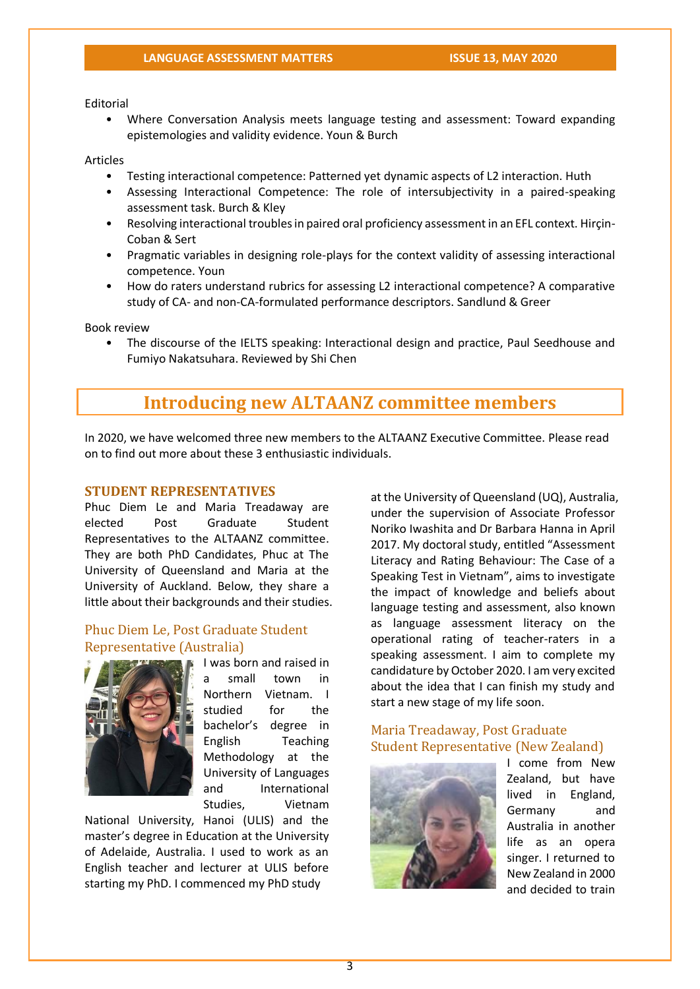Editorial

• Where Conversation Analysis meets language testing and assessment: Toward expanding epistemologies and validity evidence. Youn & Burch

#### Articles

- Testing interactional competence: Patterned yet dynamic aspects of L2 interaction. Huth
- Assessing Interactional Competence: The role of intersubjectivity in a paired-speaking assessment task. Burch & Kley
- Resolving interactional troubles in paired oral proficiency assessment in an EFL context. Hirçin-Coban & Sert
- Pragmatic variables in designing role-plays for the context validity of assessing interactional competence. Youn
- How do raters understand rubrics for assessing L2 interactional competence? A comparative study of CA- and non-CA-formulated performance descriptors. Sandlund & Greer

Book review

• The discourse of the IELTS speaking: Interactional design and practice, Paul Seedhouse and Fumiyo Nakatsuhara. Reviewed by Shi Chen

# **Introducing new ALTAANZ committee members**

In 2020, we have welcomed three new members to the ALTAANZ Executive Committee. Please read on to find out more about these 3 enthusiastic individuals.

#### **STUDENT REPRESENTATIVES**

Phuc Diem Le and Maria Treadaway are elected Post Graduate Student Representatives to the ALTAANZ committee. They are both PhD Candidates, Phuc at The University of Queensland and Maria at the University of Auckland. Below, they share a little about their backgrounds and their studies.

## Phuc Diem Le, Post Graduate Student Representative (Australia)



I was born and raised in a small town in Northern Vietnam. I studied for the bachelor's degree in English Teaching Methodology at the University of Languages and International Studies, Vietnam

National University, Hanoi (ULIS) and the master's degree in Education at the University of Adelaide, Australia. I used to work as an English teacher and lecturer at ULIS before starting my PhD. I commenced my PhD study

at the University of Queensland (UQ), Australia, under the supervision of Associate Professor Noriko Iwashita and Dr Barbara Hanna in April 2017. My doctoral study, entitled "Assessment Literacy and Rating Behaviour: The Case of a Speaking Test in Vietnam", aims to investigate the impact of knowledge and beliefs about language testing and assessment, also known as language assessment literacy on the operational rating of teacher-raters in a speaking assessment. I aim to complete my candidature by October 2020. I am very excited about the idea that I can finish my study and start a new stage of my life soon.

# Maria Treadaway, Post Graduate Student Representative (New Zealand)



I come from New Zealand, but have lived in England, Germany and Australia in another life as an opera singer. I returned to New Zealand in 2000 and decided to train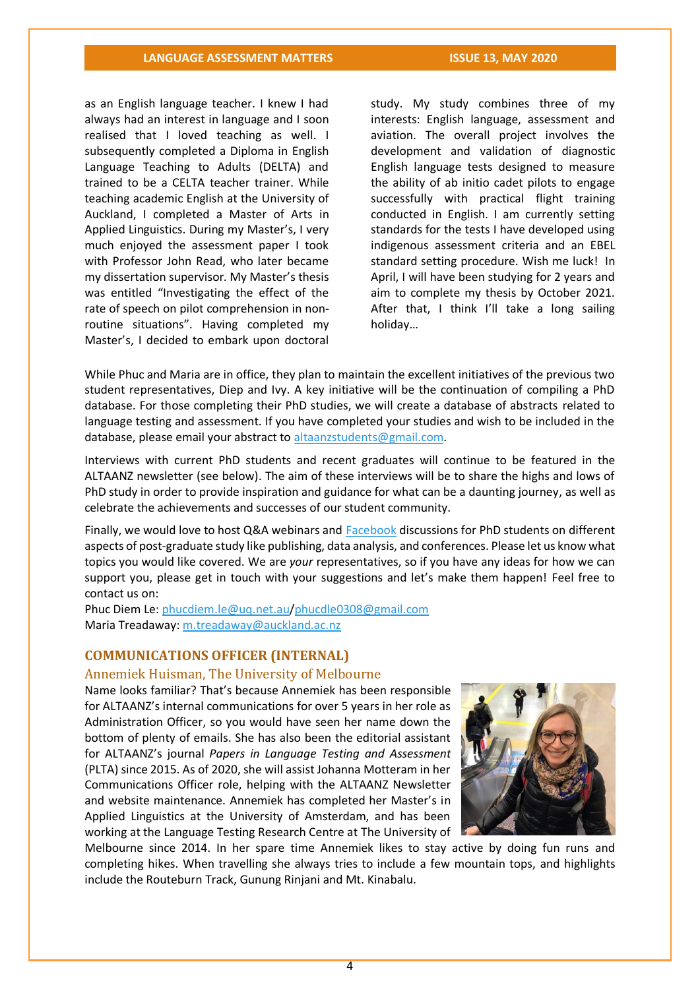# **LANGUAGE ASSESSMENT MATTERS ISSUE 13, MAY 2020**

as an English language teacher. I knew I had always had an interest in language and I soon realised that I loved teaching as well. I subsequently completed a Diploma in English Language Teaching to Adults (DELTA) and trained to be a CELTA teacher trainer. While teaching academic English at the University of Auckland, I completed a Master of Arts in Applied Linguistics. During my Master's, I very much enjoyed the assessment paper I took with Professor John Read, who later became my dissertation supervisor. My Master's thesis was entitled "Investigating the effect of the rate of speech on pilot comprehension in nonroutine situations". Having completed my Master's, I decided to embark upon doctoral

study. My study combines three of my interests: English language, assessment and aviation. The overall project involves the development and validation of diagnostic English language tests designed to measure the ability of ab initio cadet pilots to engage successfully with practical flight training conducted in English. I am currently setting standards for the tests I have developed using indigenous assessment criteria and an EBEL standard setting procedure. Wish me luck! In April, I will have been studying for 2 years and aim to complete my thesis by October 2021. After that, I think I'll take a long sailing holiday…

While Phuc and Maria are in office, they plan to maintain the excellent initiatives of the previous two student representatives, Diep and Ivy. A key initiative will be the continuation of compiling a PhD database. For those completing their PhD studies, we will create a database of abstracts related to language testing and assessment. If you have completed your studies and wish to be included in the database, please email your abstract to [altaanzstudents@gmail.com.](mailto:altaanzstudents@gmail.com)

Interviews with current PhD students and recent graduates will continue to be featured in the ALTAANZ newsletter (see below). The aim of these interviews will be to share the highs and lows of PhD study in order to provide inspiration and guidance for what can be a daunting journey, as well as celebrate the achievements and successes of our student community.

Finally, we would love to host Q&A webinars and [Facebook](https://www.facebook.com/groups/310263089150447/) discussions for PhD students on different aspects of post-graduate study like publishing, data analysis, and conferences. Please let us know what topics you would like covered. We are *your* representatives, so if you have any ideas for how we can support you, please get in touch with your suggestions and let's make them happen! Feel free to contact us on:

Phuc Diem Le: [phucdiem.le@uq.net.au](mailto:phucdiem.le@uq.net.au)[/phucdle0308@gmail.com](mailto:phucdle0308@gmail.com) Maria Treadaway: [m.treadaway@auckland.ac.nz](mailto:m.treadaway@auckland.ac.nz)

#### **COMMUNICATIONS OFFICER (INTERNAL)**

#### Annemiek Huisman, The University of Melbourne

Name looks familiar? That's because Annemiek has been responsible for ALTAANZ's internal communications for over 5 years in her role as Administration Officer, so you would have seen her name down the bottom of plenty of emails. She has also been the editorial assistant for ALTAANZ's journal *Papers in Language Testing and Assessment* (PLTA) since 2015. As of 2020, she will assist Johanna Motteram in her Communications Officer role, helping with the ALTAANZ Newsletter and website maintenance. Annemiek has completed her Master's in Applied Linguistics at the University of Amsterdam, and has been working at the Language Testing Research Centre at The University of



Melbourne since 2014. In her spare time Annemiek likes to stay active by doing fun runs and completing hikes. When travelling she always tries to include a few mountain tops, and highlights include the Routeburn Track, Gunung Rinjani and Mt. Kinabalu.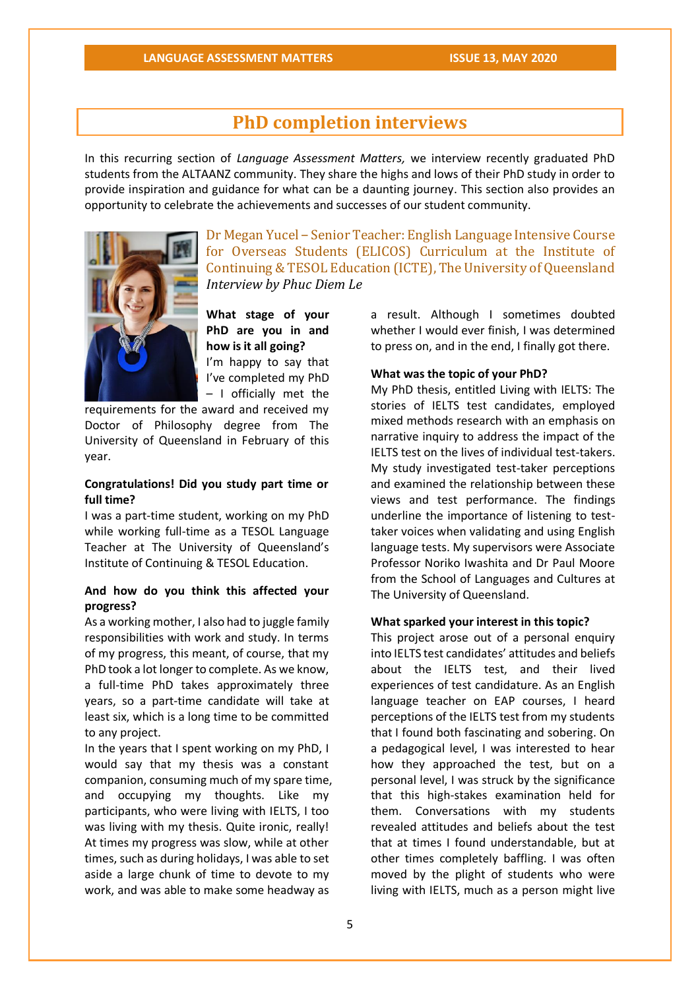# **PhD completion interviews**

In this recurring section of *Language Assessment Matters,* we interview recently graduated PhD students from the ALTAANZ community. They share the highs and lows of their PhD study in order to provide inspiration and guidance for what can be a daunting journey. This section also provides an opportunity to celebrate the achievements and successes of our student community.



Dr Megan Yucel – Senior Teacher: English Language Intensive Course for Overseas Students (ELICOS) Curriculum at the Institute of Continuing & TESOL Education (ICTE), The University of Queensland *Interview by Phuc Diem Le*

**What stage of your PhD are you in and how is it all going?**  I'm happy to say that I've completed my PhD – I officially met the

requirements for the award and received my Doctor of Philosophy degree from The University of Queensland in February of this year.

#### **Congratulations! Did you study part time or full time?**

I was a part-time student, working on my PhD while working full-time as a TESOL Language Teacher at The University of Queensland's Institute of Continuing & TESOL Education.

### **And how do you think this affected your progress?**

As a working mother, I also had to juggle family responsibilities with work and study. In terms of my progress, this meant, of course, that my PhD took a lot longer to complete. As we know, a full-time PhD takes approximately three years, so a part-time candidate will take at least six, which is a long time to be committed to any project.

In the years that I spent working on my PhD, I would say that my thesis was a constant companion, consuming much of my spare time, and occupying my thoughts. Like my participants, who were living with IELTS, I too was living with my thesis. Quite ironic, really! At times my progress was slow, while at other times, such as during holidays, I was able to set aside a large chunk of time to devote to my work, and was able to make some headway as

a result. Although I sometimes doubted whether I would ever finish, I was determined to press on, and in the end, I finally got there.

#### **What was the topic of your PhD?**

My PhD thesis, entitled Living with IELTS: The stories of IELTS test candidates, employed mixed methods research with an emphasis on narrative inquiry to address the impact of the IELTS test on the lives of individual test-takers. My study investigated test-taker perceptions and examined the relationship between these views and test performance. The findings underline the importance of listening to testtaker voices when validating and using English language tests. My supervisors were Associate Professor Noriko Iwashita and Dr Paul Moore from the School of Languages and Cultures at The University of Queensland.

#### **What sparked your interest in this topic?**

This project arose out of a personal enquiry into IELTS test candidates' attitudes and beliefs about the IELTS test, and their lived experiences of test candidature. As an English language teacher on EAP courses, I heard perceptions of the IELTS test from my students that I found both fascinating and sobering. On a pedagogical level, I was interested to hear how they approached the test, but on a personal level, I was struck by the significance that this high-stakes examination held for them. Conversations with my students revealed attitudes and beliefs about the test that at times I found understandable, but at other times completely baffling. I was often moved by the plight of students who were living with IELTS, much as a person might live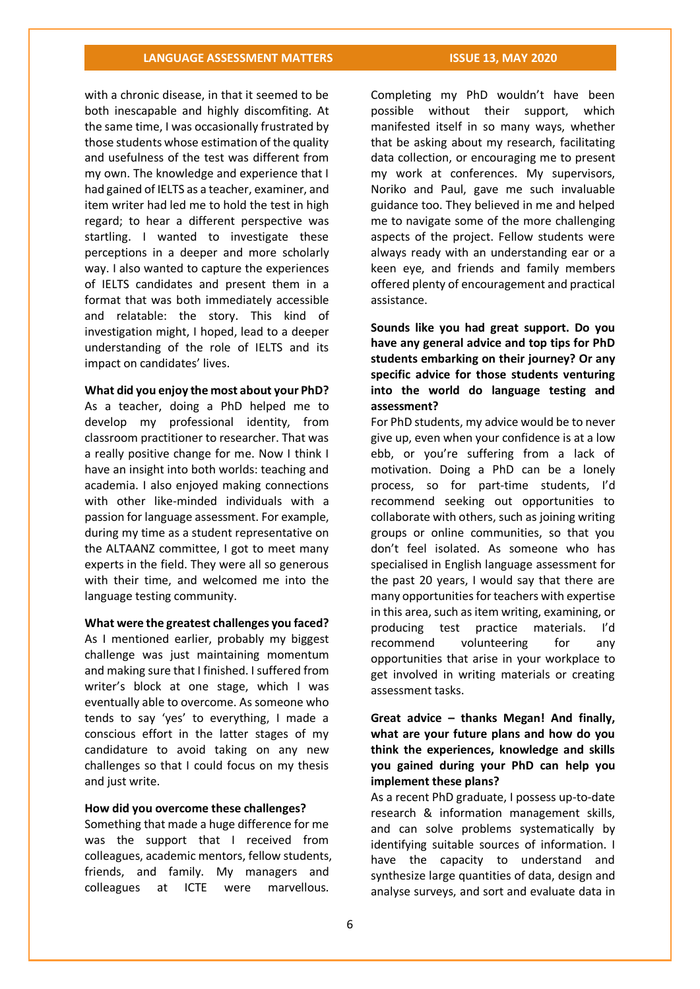# **LANGUAGE ASSESSMENT MATTERS ISSUE 13, MAY 2020**

with a chronic disease, in that it seemed to be both inescapable and highly discomfiting. At the same time, I was occasionally frustrated by those students whose estimation of the quality and usefulness of the test was different from my own. The knowledge and experience that I had gained of IELTS as a teacher, examiner, and item writer had led me to hold the test in high regard; to hear a different perspective was startling. I wanted to investigate these perceptions in a deeper and more scholarly way. I also wanted to capture the experiences of IELTS candidates and present them in a format that was both immediately accessible and relatable: the story. This kind of investigation might, I hoped, lead to a deeper understanding of the role of IELTS and its impact on candidates' lives.

**What did you enjoy the most about your PhD?**

As a teacher, doing a PhD helped me to develop my professional identity, from classroom practitioner to researcher. That was a really positive change for me. Now I think I have an insight into both worlds: teaching and academia. I also enjoyed making connections with other like-minded individuals with a passion for language assessment. For example, during my time as a student representative on the ALTAANZ committee, I got to meet many experts in the field. They were all so generous with their time, and welcomed me into the language testing community.

**What were the greatest challenges you faced?** As I mentioned earlier, probably my biggest challenge was just maintaining momentum and making sure that I finished. I suffered from writer's block at one stage, which I was eventually able to overcome. As someone who tends to say 'yes' to everything, I made a conscious effort in the latter stages of my candidature to avoid taking on any new challenges so that I could focus on my thesis and just write.

#### **How did you overcome these challenges?**

Something that made a huge difference for me was the support that I received from colleagues, academic mentors, fellow students, friends, and family. My managers and colleagues at ICTE were marvellous.

Completing my PhD wouldn't have been possible without their support, which manifested itself in so many ways, whether that be asking about my research, facilitating data collection, or encouraging me to present my work at conferences. My supervisors, Noriko and Paul, gave me such invaluable guidance too. They believed in me and helped me to navigate some of the more challenging aspects of the project. Fellow students were always ready with an understanding ear or a keen eye, and friends and family members offered plenty of encouragement and practical assistance.

**Sounds like you had great support. Do you have any general advice and top tips for PhD students embarking on their journey? Or any specific advice for those students venturing into the world do language testing and assessment?**

For PhD students, my advice would be to never give up, even when your confidence is at a low ebb, or you're suffering from a lack of motivation. Doing a PhD can be a lonely process, so for part-time students, I'd recommend seeking out opportunities to collaborate with others, such as joining writing groups or online communities, so that you don't feel isolated. As someone who has specialised in English language assessment for the past 20 years, I would say that there are many opportunities for teachers with expertise in this area, such as item writing, examining, or producing test practice materials. I'd recommend volunteering for any opportunities that arise in your workplace to get involved in writing materials or creating assessment tasks.

# **Great advice – thanks Megan! And finally, what are your future plans and how do you think the experiences, knowledge and skills you gained during your PhD can help you implement these plans?**

As a recent PhD graduate, I possess up-to-date research & information management skills, and can solve problems systematically by identifying suitable sources of information. I have the capacity to understand and synthesize large quantities of data, design and analyse surveys, and sort and evaluate data in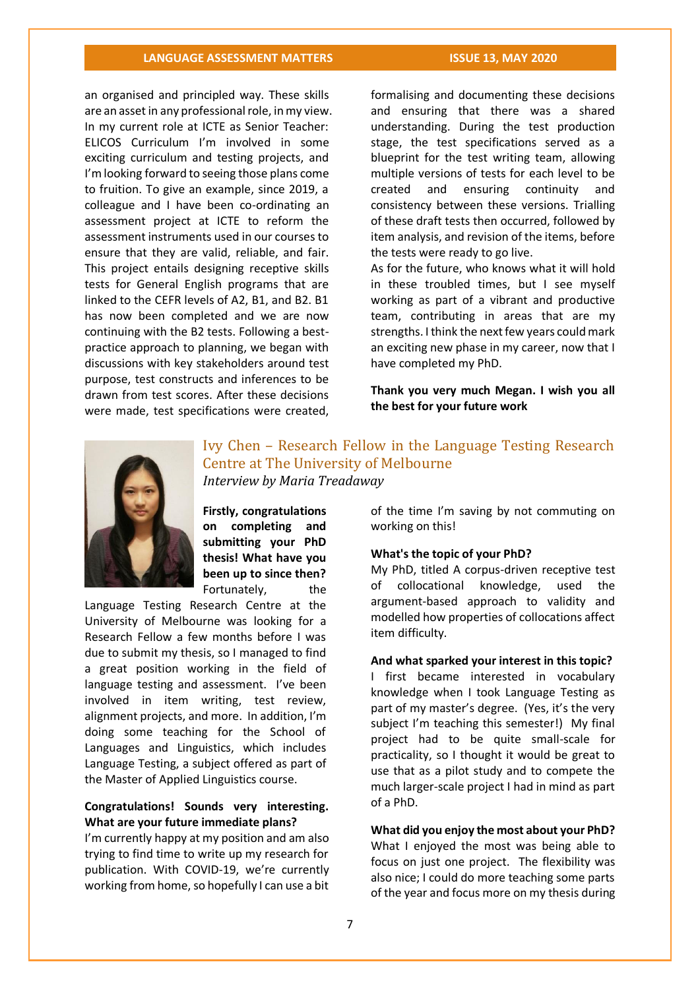# **LANGUAGE ASSESSMENT MATTERS ISSUE 13, MAY 2020**

an organised and principled way. These skills are an asset in any professional role, in my view. In my current role at ICTE as Senior Teacher: ELICOS Curriculum I'm involved in some exciting curriculum and testing projects, and I'm looking forward to seeing those plans come to fruition. To give an example, since 2019, a colleague and I have been co-ordinating an assessment project at ICTE to reform the assessment instruments used in our courses to ensure that they are valid, reliable, and fair. This project entails designing receptive skills tests for General English programs that are linked to the CEFR levels of A2, B1, and B2. B1 has now been completed and we are now continuing with the B2 tests. Following a bestpractice approach to planning, we began with discussions with key stakeholders around test purpose, test constructs and inferences to be drawn from test scores. After these decisions were made, test specifications were created,

formalising and documenting these decisions and ensuring that there was a shared understanding. During the test production stage, the test specifications served as a blueprint for the test writing team, allowing multiple versions of tests for each level to be created and ensuring continuity and consistency between these versions. Trialling of these draft tests then occurred, followed by item analysis, and revision of the items, before the tests were ready to go live.

As for the future, who knows what it will hold in these troubled times, but I see myself working as part of a vibrant and productive team, contributing in areas that are my strengths. I think the next few years could mark an exciting new phase in my career, now that I have completed my PhD.

**Thank you very much Megan. I wish you all the best for your future work**



Ivy Chen – Research Fellow in the Language Testing Research Centre at The University of Melbourne *Interview by Maria Treadaway*

**Firstly, congratulations on completing and submitting your PhD thesis! What have you been up to since then?** Fortunately, the

Language Testing Research Centre at the University of Melbourne was looking for a Research Fellow a few months before I was due to submit my thesis, so I managed to find a great position working in the field of language testing and assessment. I've been involved in item writing, test review, alignment projects, and more. In addition, I'm doing some teaching for the School of Languages and Linguistics, which includes Language Testing, a subject offered as part of the Master of Applied Linguistics course.

# **Congratulations! Sounds very interesting. What are your future immediate plans?**

I'm currently happy at my position and am also trying to find time to write up my research for publication. With COVID-19, we're currently working from home, so hopefully I can use a bit of the time I'm saving by not commuting on working on this!

#### **What's the topic of your PhD?**

My PhD, titled A corpus-driven receptive test of collocational knowledge, used the argument-based approach to validity and modelled how properties of collocations affect item difficulty.

#### **And what sparked your interest in this topic?**

I first became interested in vocabulary knowledge when I took Language Testing as part of my master's degree. (Yes, it's the very subject I'm teaching this semester!) My final project had to be quite small-scale for practicality, so I thought it would be great to use that as a pilot study and to compete the much larger-scale project I had in mind as part of a PhD.

**What did you enjoy the most about your PhD?** What I enjoyed the most was being able to focus on just one project. The flexibility was also nice; I could do more teaching some parts of the year and focus more on my thesis during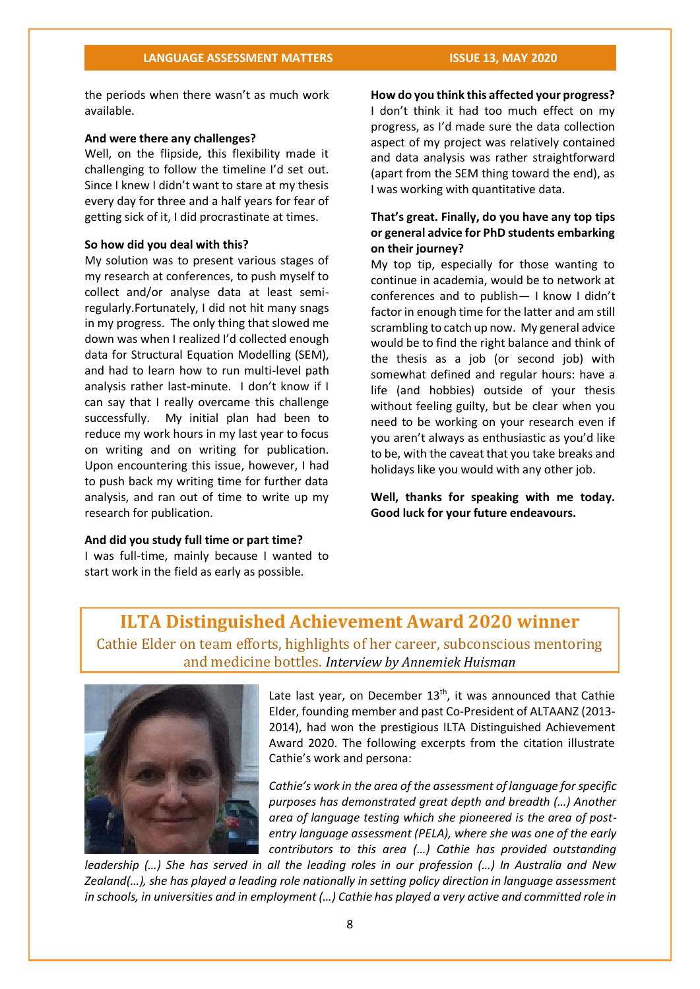the periods when there wasn't as much work available.

#### **And were there any challenges?**

Well, on the flipside, this flexibility made it challenging to follow the timeline I'd set out. Since I knew I didn't want to stare at my thesis every day for three and a half years for fear of getting sick of it, I did procrastinate at times.

#### **So how did you deal with this?**

My solution was to present various stages of my research at conferences, to push myself to collect and/or analyse data at least semiregularly.Fortunately, I did not hit many snags in my progress. The only thing that slowed me down was when I realized I'd collected enough data for Structural Equation Modelling (SEM), and had to learn how to run multi-level path analysis rather last-minute. I don't know if I can say that I really overcame this challenge successfully. My initial plan had been to reduce my work hours in my last year to focus on writing and on writing for publication. Upon encountering this issue, however, I had to push back my writing time for further data analysis, and ran out of time to write up my research for publication.

#### **And did you study full time or part time?**

I was full-time, mainly because I wanted to start work in the field as early as possible.

**How do you think this affected your progress?** I don't think it had too much effect on my progress, as I'd made sure the data collection aspect of my project was relatively contained and data analysis was rather straightforward (apart from the SEM thing toward the end), as I was working with quantitative data.

# **That's great. Finally, do you have any top tips or general advice for PhD students embarking on their journey?**

My top tip, especially for those wanting to continue in academia, would be to network at conferences and to publish— I know I didn't factor in enough time for the latter and am still scrambling to catch up now. My general advice would be to find the right balance and think of the thesis as a job (or second job) with somewhat defined and regular hours: have a life (and hobbies) outside of your thesis without feeling guilty, but be clear when you need to be working on your research even if you aren't always as enthusiastic as you'd like to be, with the caveat that you take breaks and holidays like you would with any other job.

**Well, thanks for speaking with me today. Good luck for your future endeavours.**

# **ILTA Distinguished Achievement Award 2020 winner**

Cathie Elder on team efforts, highlights of her career, subconscious mentoring and medicine bottles. *Interview by Annemiek Huisman*



Late last year, on December  $13<sup>th</sup>$ , it was announced that Cathie Elder, founding member and past Co-President of ALTAANZ (2013- 2014), had won the prestigious ILTA Distinguished Achievement Award 2020. The following excerpts from the citation illustrate Cathie's work and persona:

*Cathie's work in the area of the assessment of language for specific purposes has demonstrated great depth and breadth (…) Another area of language testing which she pioneered is the area of postentry language assessment (PELA), where she was one of the early contributors to this area (…) Cathie has provided outstanding* 

*leadership (…) She has served in all the leading roles in our profession (…) In Australia and New Zealand(…), she has played a leading role nationally in setting policy direction in language assessment in schools, in universities and in employment (…) Cathie has played a very active and committed role in*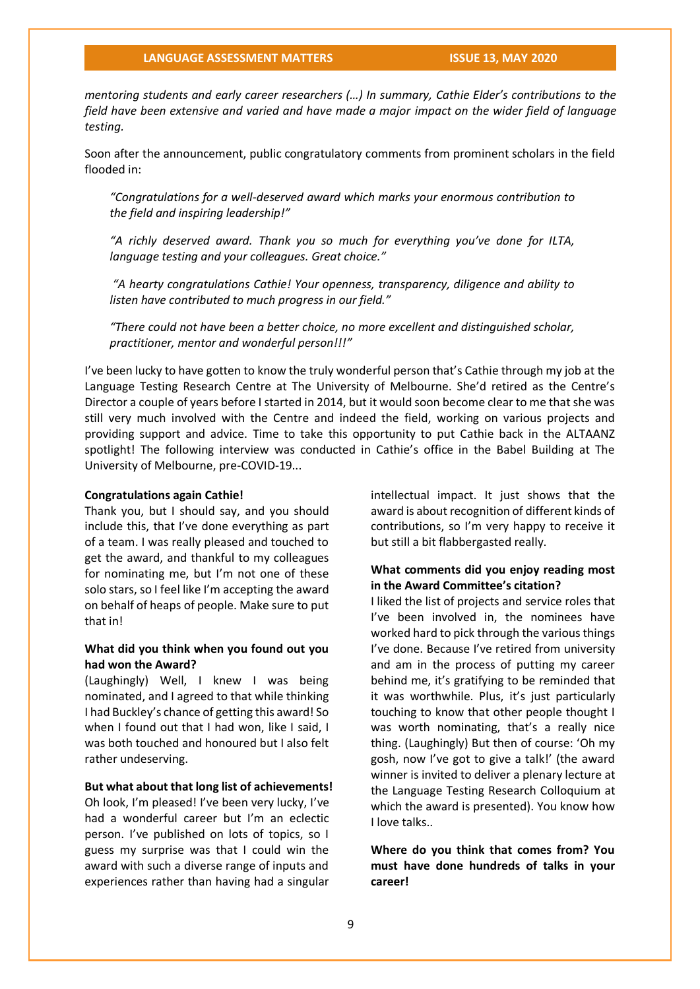*mentoring students and early career researchers (…) In summary, Cathie Elder's contributions to the field have been extensive and varied and have made a major impact on the wider field of language testing.* 

Soon after the announcement, public congratulatory comments from prominent scholars in the field flooded in:

*"Congratulations for a well-deserved award which marks your enormous contribution to the field and inspiring leadership!"*

*"A richly deserved award. Thank you so much for everything you've done for ILTA, language testing and your colleagues. Great choice."*

*"A hearty congratulations Cathie! Your openness, transparency, diligence and ability to listen have contributed to much progress in our field."*

*"There could not have been a better choice, no more excellent and distinguished scholar, practitioner, mentor and wonderful person!!!"*

I've been lucky to have gotten to know the truly wonderful person that's Cathie through my job at the Language Testing Research Centre at The University of Melbourne. She'd retired as the Centre's Director a couple of years before I started in 2014, but it would soon become clear to me that she was still very much involved with the Centre and indeed the field, working on various projects and providing support and advice. Time to take this opportunity to put Cathie back in the ALTAANZ spotlight! The following interview was conducted in Cathie's office in the Babel Building at The University of Melbourne, pre-COVID-19...

#### **Congratulations again Cathie!**

Thank you, but I should say, and you should include this, that I've done everything as part of a team. I was really pleased and touched to get the award, and thankful to my colleagues for nominating me, but I'm not one of these solo stars, so I feel like I'm accepting the award on behalf of heaps of people. Make sure to put that in!

### **What did you think when you found out you had won the Award?**

(Laughingly) Well, I knew I was being nominated, and I agreed to that while thinking I had Buckley's chance of getting this award! So when I found out that I had won, like I said. I was both touched and honoured but I also felt rather undeserving.

#### **But what about that long list of achievements!**

Oh look, I'm pleased! I've been very lucky, I've had a wonderful career but I'm an eclectic person. I've published on lots of topics, so I guess my surprise was that I could win the award with such a diverse range of inputs and experiences rather than having had a singular intellectual impact. It just shows that the award is about recognition of different kinds of contributions, so I'm very happy to receive it but still a bit flabbergasted really.

### **What comments did you enjoy reading most in the Award Committee's citation?**

I liked the list of projects and service roles that I've been involved in, the nominees have worked hard to pick through the various things I've done. Because I've retired from university and am in the process of putting my career behind me, it's gratifying to be reminded that it was worthwhile. Plus, it's just particularly touching to know that other people thought I was worth nominating, that's a really nice thing. (Laughingly) But then of course: 'Oh my gosh, now I've got to give a talk!' (the award winner is invited to deliver a plenary lecture at the Language Testing Research Colloquium at which the award is presented). You know how I love talks..

**Where do you think that comes from? You must have done hundreds of talks in your career!**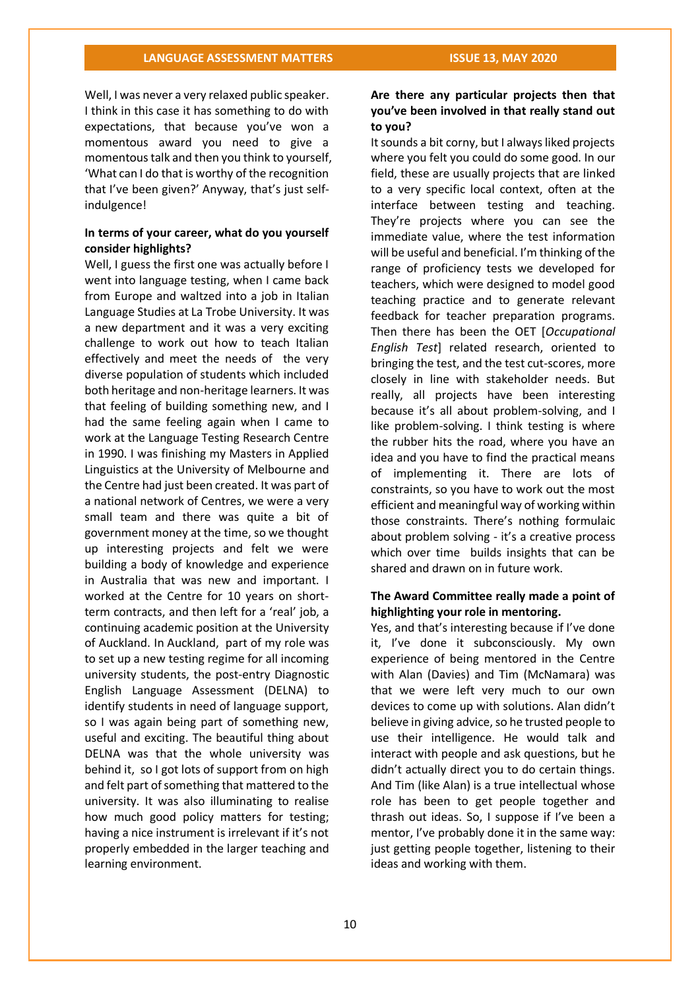Well, I was never a very relaxed public speaker. I think in this case it has something to do with expectations, that because you've won a momentous award you need to give a momentous talk and then you think to yourself, 'What can I do that is worthy of the recognition that I've been given?' Anyway, that's just selfindulgence!

#### **In terms of your career, what do you yourself consider highlights?**

Well, I guess the first one was actually before I went into language testing, when I came back from Europe and waltzed into a job in Italian Language Studies at La Trobe University. It was a new department and it was a very exciting challenge to work out how to teach Italian effectively and meet the needs of the very diverse population of students which included both heritage and non-heritage learners. It was that feeling of building something new, and I had the same feeling again when I came to work at the Language Testing Research Centre in 1990. I was finishing my Masters in Applied Linguistics at the University of Melbourne and the Centre had just been created. It was part of a national network of Centres, we were a very small team and there was quite a bit of government money at the time, so we thought up interesting projects and felt we were building a body of knowledge and experience in Australia that was new and important. I worked at the Centre for 10 years on shortterm contracts, and then left for a 'real' job, a continuing academic position at the University of Auckland. In Auckland, part of my role was to set up a new testing regime for all incoming university students, the post-entry Diagnostic English Language Assessment (DELNA) to identify students in need of language support, so I was again being part of something new, useful and exciting. The beautiful thing about DELNA was that the whole university was behind it, so I got lots of support from on high and felt part of something that mattered to the university. It was also illuminating to realise how much good policy matters for testing; having a nice instrument is irrelevant if it's not properly embedded in the larger teaching and learning environment.

# **Are there any particular projects then that you've been involved in that really stand out to you?**

It sounds a bit corny, but I always liked projects where you felt you could do some good. In our field, these are usually projects that are linked to a very specific local context, often at the interface between testing and teaching. They're projects where you can see the immediate value, where the test information will be useful and beneficial. I'm thinking of the range of proficiency tests we developed for teachers, which were designed to model good teaching practice and to generate relevant feedback for teacher preparation programs. Then there has been the OET [*Occupational English Test*] related research, oriented to bringing the test, and the test cut-scores, more closely in line with stakeholder needs. But really, all projects have been interesting because it's all about problem-solving, and I like problem-solving. I think testing is where the rubber hits the road, where you have an idea and you have to find the practical means of implementing it. There are lots of constraints, so you have to work out the most efficient and meaningful way of working within those constraints. There's nothing formulaic about problem solving - it's a creative process which over time builds insights that can be shared and drawn on in future work.

# **The Award Committee really made a point of highlighting your role in mentoring.**

Yes, and that's interesting because if I've done it, I've done it subconsciously. My own experience of being mentored in the Centre with Alan (Davies) and Tim (McNamara) was that we were left very much to our own devices to come up with solutions. Alan didn't believe in giving advice, so he trusted people to use their intelligence. He would talk and interact with people and ask questions, but he didn't actually direct you to do certain things. And Tim (like Alan) is a true intellectual whose role has been to get people together and thrash out ideas. So, I suppose if I've been a mentor, I've probably done it in the same way: just getting people together, listening to their ideas and working with them.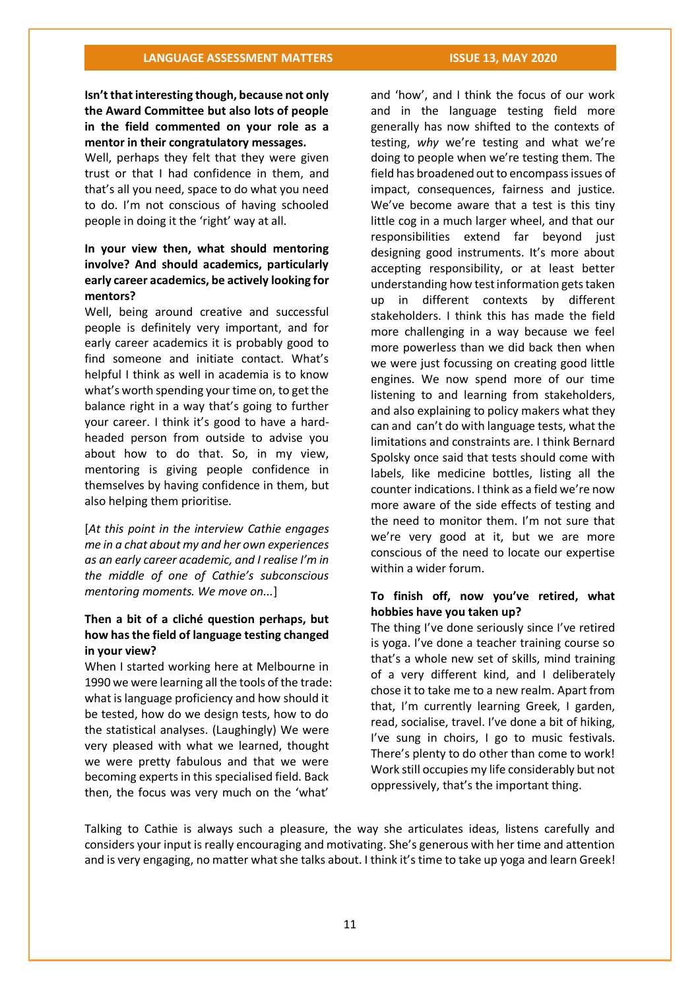**Isn't that interesting though, because not only the Award Committee but also lots of people in the field commented on your role as a mentor in their congratulatory messages.** 

Well, perhaps they felt that they were given trust or that I had confidence in them, and that's all you need, space to do what you need to do. I'm not conscious of having schooled people in doing it the 'right' way at all.

# **In your view then, what should mentoring involve? And should academics, particularly early career academics, be actively looking for mentors?**

Well, being around creative and successful people is definitely very important, and for early career academics it is probably good to find someone and initiate contact. What's helpful I think as well in academia is to know what's worth spending your time on, to get the balance right in a way that's going to further your career. I think it's good to have a hardheaded person from outside to advise you about how to do that. So, in my view, mentoring is giving people confidence in themselves by having confidence in them, but also helping them prioritise.

[*At this point in the interview Cathie engages me in a chat about my and her own experiences as an early career academic, and I realise I'm in the middle of one of Cathie's subconscious mentoring moments. We move on...*]

# **Then a bit of a cliché question perhaps, but how has the field of language testing changed in your view?**

When I started working here at Melbourne in 1990 we were learning all the tools of the trade: what is language proficiency and how should it be tested, how do we design tests, how to do the statistical analyses. (Laughingly) We were very pleased with what we learned, thought we were pretty fabulous and that we were becoming experts in this specialised field. Back then, the focus was very much on the 'what'

and 'how', and I think the focus of our work and in the language testing field more generally has now shifted to the contexts of testing, *why* we're testing and what we're doing to people when we're testing them. The field has broadened out to encompass issues of impact, consequences, fairness and justice. We've become aware that a test is this tiny little cog in a much larger wheel, and that our responsibilities extend far beyond just designing good instruments. It's more about accepting responsibility, or at least better understanding how test information gets taken up in different contexts by different stakeholders. I think this has made the field more challenging in a way because we feel more powerless than we did back then when we were just focussing on creating good little engines. We now spend more of our time listening to and learning from stakeholders, and also explaining to policy makers what they can and can't do with language tests, what the limitations and constraints are. I think Bernard Spolsky once said that tests should come with labels, like medicine bottles, listing all the counter indications. I think as a field we're now more aware of the side effects of testing and the need to monitor them. I'm not sure that we're very good at it, but we are more conscious of the need to locate our expertise within a wider forum.

### **To finish off, now you've retired, what hobbies have you taken up?**

The thing I've done seriously since I've retired is yoga. I've done a teacher training course so that's a whole new set of skills, mind training of a very different kind, and I deliberately chose it to take me to a new realm. Apart from that, I'm currently learning Greek, I garden, read, socialise, travel. I've done a bit of hiking, I've sung in choirs, I go to music festivals. There's plenty to do other than come to work! Work still occupies my life considerably but not oppressively, that's the important thing.

Talking to Cathie is always such a pleasure, the way she articulates ideas, listens carefully and considers your input is really encouraging and motivating. She's generous with her time and attention and is very engaging, no matter what she talks about. I think it's time to take up yoga and learn Greek!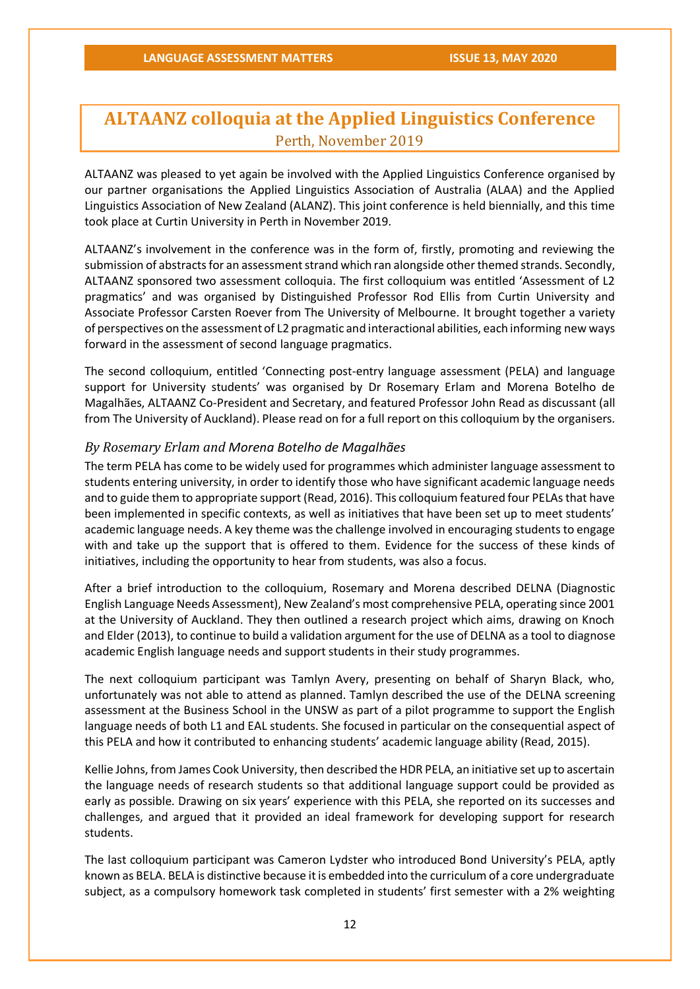# **ALTAANZ colloquia at the Applied Linguistics Conference** Perth, November 2019

ALTAANZ was pleased to yet again be involved with the Applied Linguistics Conference organised by our partner organisations the Applied Linguistics Association of Australia (ALAA) and the Applied Linguistics Association of New Zealand (ALANZ). This joint conference is held biennially, and this time took place at Curtin University in Perth in November 2019.

ALTAANZ's involvement in the conference was in the form of, firstly, promoting and reviewing the submission of abstracts for an assessment strand which ran alongside other themed strands. Secondly, ALTAANZ sponsored two assessment colloquia. The first colloquium was entitled 'Assessment of L2 pragmatics' and was organised by Distinguished Professor Rod Ellis from Curtin University and Associate Professor Carsten Roever from The University of Melbourne. It brought together a variety of perspectives on the assessment of L2 pragmatic and interactional abilities, each informing new ways forward in the assessment of second language pragmatics.

The second colloquium, entitled 'Connecting post-entry language assessment (PELA) and language support for University students' was organised by Dr Rosemary Erlam and Morena Botelho de Magalhães, ALTAANZ Co-President and Secretary, and featured Professor John Read as discussant (all from The University of Auckland). Please read on for a full report on this colloquium by the organisers.

#### *By Rosemary Erlam and Morena Botelho de Magalhães*

The term PELA has come to be widely used for programmes which administer language assessment to students entering university, in order to identify those who have significant academic language needs and to guide them to appropriate support (Read, 2016). This colloquium featured four PELAs that have been implemented in specific contexts, as well as initiatives that have been set up to meet students' academic language needs. A key theme was the challenge involved in encouraging students to engage with and take up the support that is offered to them. Evidence for the success of these kinds of initiatives, including the opportunity to hear from students, was also a focus.

After a brief introduction to the colloquium, Rosemary and Morena described DELNA (Diagnostic English Language Needs Assessment), New Zealand's most comprehensive PELA, operating since 2001 at the University of Auckland. They then outlined a research project which aims, drawing on Knoch and Elder (2013), to continue to build a validation argument for the use of DELNA as a tool to diagnose academic English language needs and support students in their study programmes.

The next colloquium participant was Tamlyn Avery, presenting on behalf of Sharyn Black, who, unfortunately was not able to attend as planned. Tamlyn described the use of the DELNA screening assessment at the Business School in the UNSW as part of a pilot programme to support the English language needs of both L1 and EAL students. She focused in particular on the consequential aspect of this PELA and how it contributed to enhancing students' academic language ability (Read, 2015).

Kellie Johns, from James Cook University, then described the HDR PELA, an initiative set up to ascertain the language needs of research students so that additional language support could be provided as early as possible. Drawing on six years' experience with this PELA, she reported on its successes and challenges, and argued that it provided an ideal framework for developing support for research students.

The last colloquium participant was Cameron Lydster who introduced Bond University's PELA, aptly known as BELA. BELA is distinctive because it is embedded into the curriculum of a core undergraduate subject, as a compulsory homework task completed in students' first semester with a 2% weighting